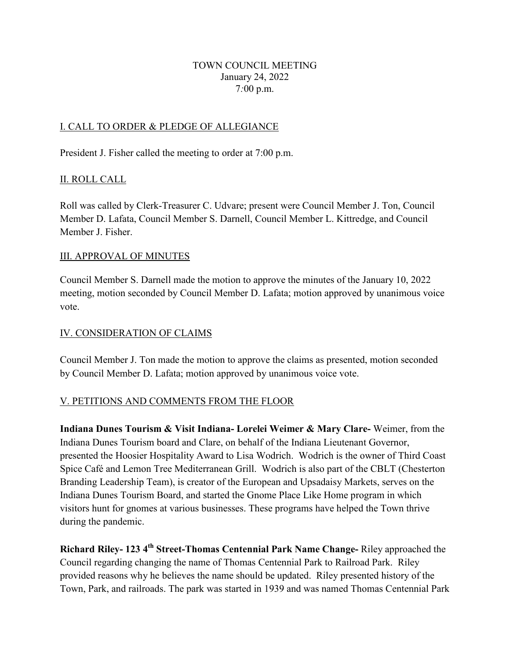### TOWN COUNCIL MEETING January 24, 2022 7*:*00 p.m.

## I. CALL TO ORDER & PLEDGE OF ALLEGIANCE

President J. Fisher called the meeting to order at 7:00 p.m.

## II. ROLL CALL

Roll was called by Clerk-Treasurer C. Udvare; present were Council Member J. Ton, Council Member D. Lafata, Council Member S. Darnell, Council Member L. Kittredge, and Council Member J. Fisher.

#### III. APPROVAL OF MINUTES

Council Member S. Darnell made the motion to approve the minutes of the January 10, 2022 meeting, motion seconded by Council Member D. Lafata; motion approved by unanimous voice vote.

### IV. CONSIDERATION OF CLAIMS

Council Member J. Ton made the motion to approve the claims as presented, motion seconded by Council Member D. Lafata; motion approved by unanimous voice vote.

## V. PETITIONS AND COMMENTS FROM THE FLOOR

**Indiana Dunes Tourism & Visit Indiana- Lorelei Weimer & Mary Clare-** Weimer, from the Indiana Dunes Tourism board and Clare, on behalf of the Indiana Lieutenant Governor, presented the Hoosier Hospitality Award to Lisa Wodrich. Wodrich is the owner of Third Coast Spice Café and Lemon Tree Mediterranean Grill. Wodrich is also part of the CBLT (Chesterton Branding Leadership Team), is creator of the European and Upsadaisy Markets, serves on the Indiana Dunes Tourism Board, and started the Gnome Place Like Home program in which visitors hunt for gnomes at various businesses. These programs have helped the Town thrive during the pandemic.

**Richard Riley- 123 4th Street-Thomas Centennial Park Name Change-** Riley approached the Council regarding changing the name of Thomas Centennial Park to Railroad Park. Riley provided reasons why he believes the name should be updated. Riley presented history of the Town, Park, and railroads. The park was started in 1939 and was named Thomas Centennial Park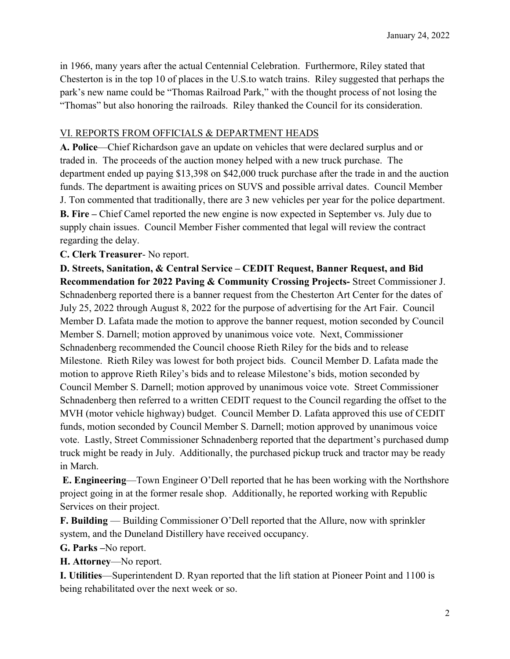in 1966, many years after the actual Centennial Celebration. Furthermore, Riley stated that Chesterton is in the top 10 of places in the U.S.to watch trains. Riley suggested that perhaps the park's new name could be "Thomas Railroad Park," with the thought process of not losing the "Thomas" but also honoring the railroads. Riley thanked the Council for its consideration.

### VI. REPORTS FROM OFFICIALS & DEPARTMENT HEADS

**A. Police**—Chief Richardson gave an update on vehicles that were declared surplus and or traded in. The proceeds of the auction money helped with a new truck purchase. The department ended up paying \$13,398 on \$42,000 truck purchase after the trade in and the auction funds. The department is awaiting prices on SUVS and possible arrival dates. Council Member J. Ton commented that traditionally, there are 3 new vehicles per year for the police department. **B. Fire –** Chief Camel reported the new engine is now expected in September vs. July due to supply chain issues. Council Member Fisher commented that legal will review the contract regarding the delay.

### **C. Clerk Treasurer**- No report.

**D. Streets, Sanitation, & Central Service – CEDIT Request, Banner Request, and Bid Recommendation for 2022 Paving & Community Crossing Projects-** Street Commissioner J. Schnadenberg reported there is a banner request from the Chesterton Art Center for the dates of July 25, 2022 through August 8, 2022 for the purpose of advertising for the Art Fair. Council Member D. Lafata made the motion to approve the banner request, motion seconded by Council Member S. Darnell; motion approved by unanimous voice vote. Next, Commissioner Schnadenberg recommended the Council choose Rieth Riley for the bids and to release Milestone. Rieth Riley was lowest for both project bids. Council Member D. Lafata made the motion to approve Rieth Riley's bids and to release Milestone's bids, motion seconded by Council Member S. Darnell; motion approved by unanimous voice vote. Street Commissioner Schnadenberg then referred to a written CEDIT request to the Council regarding the offset to the MVH (motor vehicle highway) budget. Council Member D. Lafata approved this use of CEDIT funds, motion seconded by Council Member S. Darnell; motion approved by unanimous voice vote. Lastly, Street Commissioner Schnadenberg reported that the department's purchased dump truck might be ready in July. Additionally, the purchased pickup truck and tractor may be ready in March.

**E. Engineering**—Town Engineer O'Dell reported that he has been working with the Northshore project going in at the former resale shop. Additionally, he reported working with Republic Services on their project.

**F. Building** — Building Commissioner O'Dell reported that the Allure, now with sprinkler system, and the Duneland Distillery have received occupancy.

**G. Parks –**No report.

**H. Attorney**—No report.

**I. Utilities**—Superintendent D. Ryan reported that the lift station at Pioneer Point and 1100 is being rehabilitated over the next week or so.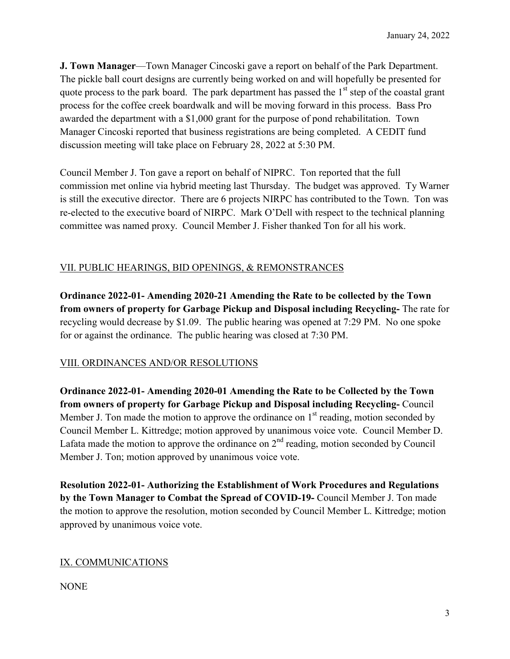**J. Town Manager**—Town Manager Cincoski gave a report on behalf of the Park Department. The pickle ball court designs are currently being worked on and will hopefully be presented for quote process to the park board. The park department has passed the  $1<sup>st</sup>$  step of the coastal grant process for the coffee creek boardwalk and will be moving forward in this process. Bass Pro awarded the department with a \$1,000 grant for the purpose of pond rehabilitation. Town Manager Cincoski reported that business registrations are being completed. A CEDIT fund discussion meeting will take place on February 28, 2022 at 5:30 PM.

Council Member J. Ton gave a report on behalf of NIPRC. Ton reported that the full commission met online via hybrid meeting last Thursday. The budget was approved. Ty Warner is still the executive director. There are 6 projects NIRPC has contributed to the Town. Ton was re-elected to the executive board of NIRPC. Mark O'Dell with respect to the technical planning committee was named proxy. Council Member J. Fisher thanked Ton for all his work.

# VII. PUBLIC HEARINGS, BID OPENINGS, & REMONSTRANCES

**Ordinance 2022-01- Amending 2020-21 Amending the Rate to be collected by the Town from owners of property for Garbage Pickup and Disposal including Recycling-** The rate for recycling would decrease by \$1.09. The public hearing was opened at 7:29 PM. No one spoke for or against the ordinance. The public hearing was closed at 7:30 PM.

# VIII. ORDINANCES AND/OR RESOLUTIONS

**Ordinance 2022-01- Amending 2020-01 Amending the Rate to be Collected by the Town from owners of property for Garbage Pickup and Disposal including Recycling-** Council Member J. Ton made the motion to approve the ordinance on  $1<sup>st</sup>$  reading, motion seconded by Council Member L. Kittredge; motion approved by unanimous voice vote. Council Member D. Lafata made the motion to approve the ordinance on  $2<sup>nd</sup>$  reading, motion seconded by Council Member J. Ton; motion approved by unanimous voice vote.

**Resolution 2022-01- Authorizing the Establishment of Work Procedures and Regulations by the Town Manager to Combat the Spread of COVID-19-** Council Member J. Ton made the motion to approve the resolution, motion seconded by Council Member L. Kittredge; motion approved by unanimous voice vote.

# IX. COMMUNICATIONS

NONE